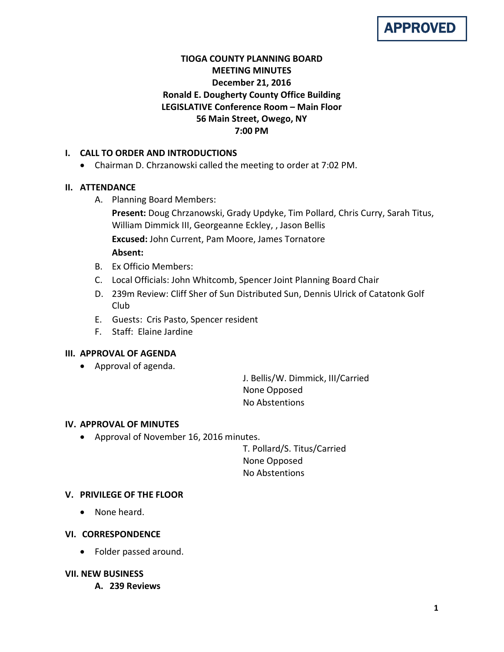# APPROVED

# **TIOGA COUNTY PLANNING BOARD MEETING MINUTES December 21, 2016 Ronald E. Dougherty County Office Building LEGISLATIVE Conference Room – Main Floor 56 Main Street, Owego, NY 7:00 PM**

# **I. CALL TO ORDER AND INTRODUCTIONS**

• Chairman D. Chrzanowski called the meeting to order at 7:02 PM.

# **II. ATTENDANCE**

A. Planning Board Members:

**Present:** Doug Chrzanowski, Grady Updyke, Tim Pollard, Chris Curry, Sarah Titus, William Dimmick III, Georgeanne Eckley, , Jason Bellis **Excused:** John Current, Pam Moore, James Tornatore **Absent:**

- B. Ex Officio Members:
- C. Local Officials: John Whitcomb, Spencer Joint Planning Board Chair
- D. 239m Review: Cliff Sher of Sun Distributed Sun, Dennis Ulrick of Catatonk Golf Club
- E. Guests: Cris Pasto, Spencer resident
- F. Staff: Elaine Jardine

## **III. APPROVAL OF AGENDA**

• Approval of agenda.

J. Bellis/W. Dimmick, III/Carried None Opposed No Abstentions

## **IV. APPROVAL OF MINUTES**

• Approval of November 16, 2016 minutes.

T. Pollard/S. Titus/Carried None Opposed No Abstentions

## **V. PRIVILEGE OF THE FLOOR**

• None heard.

## **VI. CORRESPONDENCE**

• Folder passed around.

## **VII. NEW BUSINESS**

**A. 239 Reviews**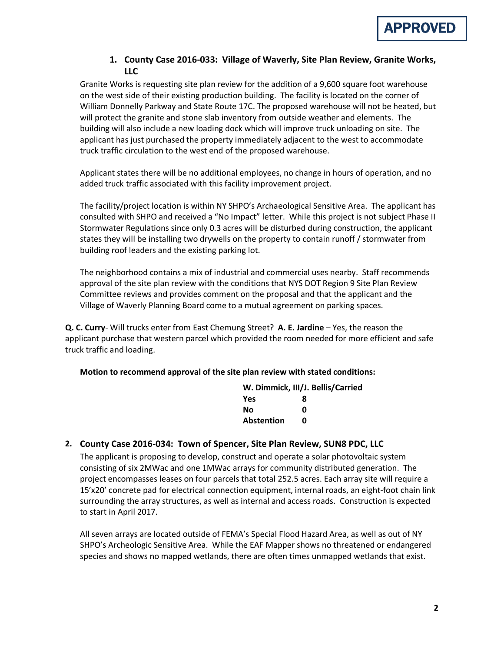

## **1. County Case 2016-033: Village of Waverly, Site Plan Review, Granite Works, LLC**

Granite Works is requesting site plan review for the addition of a 9,600 square foot warehouse on the west side of their existing production building. The facility is located on the corner of William Donnelly Parkway and State Route 17C. The proposed warehouse will not be heated, but will protect the granite and stone slab inventory from outside weather and elements. The building will also include a new loading dock which will improve truck unloading on site. The applicant has just purchased the property immediately adjacent to the west to accommodate truck traffic circulation to the west end of the proposed warehouse.

Applicant states there will be no additional employees, no change in hours of operation, and no added truck traffic associated with this facility improvement project.

The facility/project location is within NY SHPO's Archaeological Sensitive Area. The applicant has consulted with SHPO and received a "No Impact" letter. While this project is not subject Phase II Stormwater Regulations since only 0.3 acres will be disturbed during construction, the applicant states they will be installing two drywells on the property to contain runoff / stormwater from building roof leaders and the existing parking lot.

The neighborhood contains a mix of industrial and commercial uses nearby. Staff recommends approval of the site plan review with the conditions that NYS DOT Region 9 Site Plan Review Committee reviews and provides comment on the proposal and that the applicant and the Village of Waverly Planning Board come to a mutual agreement on parking spaces.

**Q. C. Curry**- Will trucks enter from East Chemung Street? **A. E. Jardine** – Yes, the reason the applicant purchase that western parcel which provided the room needed for more efficient and safe truck traffic and loading.

**Motion to recommend approval of the site plan review with stated conditions:**

|            | W. Dimmick, III/J. Bellis/Carried |
|------------|-----------------------------------|
| <b>Yes</b> | 8                                 |
| No         | ŋ                                 |
| Abstention | n                                 |

## **2. County Case 2016-034: Town of Spencer, Site Plan Review, SUN8 PDC, LLC**

The applicant is proposing to develop, construct and operate a solar photovoltaic system consisting of six 2MWac and one 1MWac arrays for community distributed generation. The project encompasses leases on four parcels that total 252.5 acres. Each array site will require a 15'x20' concrete pad for electrical connection equipment, internal roads, an eight-foot chain link surrounding the array structures, as well as internal and access roads. Construction is expected to start in April 2017.

All seven arrays are located outside of FEMA's Special Flood Hazard Area, as well as out of NY SHPO's Archeologic Sensitive Area. While the EAF Mapper shows no threatened or endangered species and shows no mapped wetlands, there are often times unmapped wetlands that exist.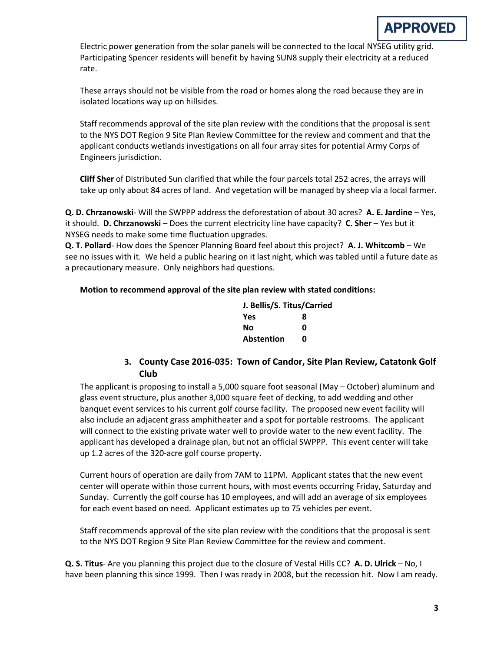

Electric power generation from the solar panels will be connected to the local NYSEG utility grid. Participating Spencer residents will benefit by having SUN8 supply their electricity at a reduced rate.

These arrays should not be visible from the road or homes along the road because they are in isolated locations way up on hillsides.

Staff recommends approval of the site plan review with the conditions that the proposal is sent to the NYS DOT Region 9 Site Plan Review Committee for the review and comment and that the applicant conducts wetlands investigations on all four array sites for potential Army Corps of Engineers jurisdiction.

**Cliff Sher** of Distributed Sun clarified that while the four parcels total 252 acres, the arrays will take up only about 84 acres of land. And vegetation will be managed by sheep via a local farmer.

**Q. D. Chrzanowski**- Will the SWPPP address the deforestation of about 30 acres? **A. E. Jardine** – Yes, it should. **D. Chrzanowski** – Does the current electricity line have capacity? **C. Sher** – Yes but it NYSEG needs to make some time fluctuation upgrades.

**Q. T. Pollard**- How does the Spencer Planning Board feel about this project? **A. J. Whitcomb** – We see no issues with it. We held a public hearing on it last night, which was tabled until a future date as a precautionary measure. Only neighbors had questions.

## **Motion to recommend approval of the site plan review with stated conditions:**

| J. Bellis/S. Titus/Carried |   |
|----------------------------|---|
| <b>Yes</b>                 | я |
| Nο                         | ŋ |
| Abstention                 | n |

# **3. County Case 2016-035: Town of Candor, Site Plan Review, Catatonk Golf Club**

The applicant is proposing to install a 5,000 square foot seasonal (May – October) aluminum and glass event structure, plus another 3,000 square feet of decking, to add wedding and other banquet event services to his current golf course facility. The proposed new event facility will also include an adjacent grass amphitheater and a spot for portable restrooms. The applicant will connect to the existing private water well to provide water to the new event facility. The applicant has developed a drainage plan, but not an official SWPPP. This event center will take up 1.2 acres of the 320-acre golf course property.

Current hours of operation are daily from 7AM to 11PM. Applicant states that the new event center will operate within those current hours, with most events occurring Friday, Saturday and Sunday. Currently the golf course has 10 employees, and will add an average of six employees for each event based on need. Applicant estimates up to 75 vehicles per event.

Staff recommends approval of the site plan review with the conditions that the proposal is sent to the NYS DOT Region 9 Site Plan Review Committee for the review and comment.

**Q. S. Titus**- Are you planning this project due to the closure of Vestal Hills CC? **A. D. Ulrick** – No, I have been planning this since 1999. Then I was ready in 2008, but the recession hit. Now I am ready.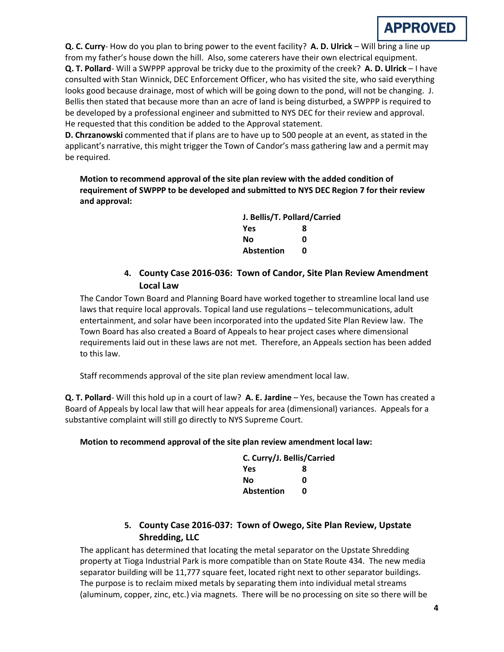

**Q. C. Curry**- How do you plan to bring power to the event facility? **A. D. Ulrick** – Will bring a line up from my father's house down the hill. Also, some caterers have their own electrical equipment. **Q. T. Pollard**- Will a SWPPP approval be tricky due to the proximity of the creek? **A. D. Ulrick** – I have consulted with Stan Winnick, DEC Enforcement Officer, who has visited the site, who said everything looks good because drainage, most of which will be going down to the pond, will not be changing. J. Bellis then stated that because more than an acre of land is being disturbed, a SWPPP is required to be developed by a professional engineer and submitted to NYS DEC for their review and approval. He requested that this condition be added to the Approval statement.

**D. Chrzanowski** commented that if plans are to have up to 500 people at an event, as stated in the applicant's narrative, this might trigger the Town of Candor's mass gathering law and a permit may be required.

**Motion to recommend approval of the site plan review with the added condition of requirement of SWPPP to be developed and submitted to NYS DEC Region 7 for their review and approval:**

| J. Bellis/T. Pollard/Carried |   |
|------------------------------|---|
| Yes                          | 8 |
| No                           | ŋ |
| <b>Abstention</b>            | n |

# **4. County Case 2016-036: Town of Candor, Site Plan Review Amendment Local Law**

The Candor Town Board and Planning Board have worked together to streamline local land use laws that require local approvals. Topical land use regulations – telecommunications, adult entertainment, and solar have been incorporated into the updated Site Plan Review law. The Town Board has also created a Board of Appeals to hear project cases where dimensional requirements laid out in these laws are not met. Therefore, an Appeals section has been added to this law.

Staff recommends approval of the site plan review amendment local law.

**Q. T. Pollard**- Will this hold up in a court of law? **A. E. Jardine** – Yes, because the Town has created a Board of Appeals by local law that will hear appeals for area (dimensional) variances. Appeals for a substantive complaint will still go directly to NYS Supreme Court.

## **Motion to recommend approval of the site plan review amendment local law:**

| C. Curry/J. Bellis/Carried |   |
|----------------------------|---|
| <b>Yes</b>                 | 8 |
| Nο                         | ŋ |
| <b>Abstention</b>          | n |

# **5. County Case 2016-037: Town of Owego, Site Plan Review, Upstate Shredding, LLC**

The applicant has determined that locating the metal separator on the Upstate Shredding property at Tioga Industrial Park is more compatible than on State Route 434. The new media separator building will be 11,777 square feet, located right next to other separator buildings. The purpose is to reclaim mixed metals by separating them into individual metal streams (aluminum, copper, zinc, etc.) via magnets. There will be no processing on site so there will be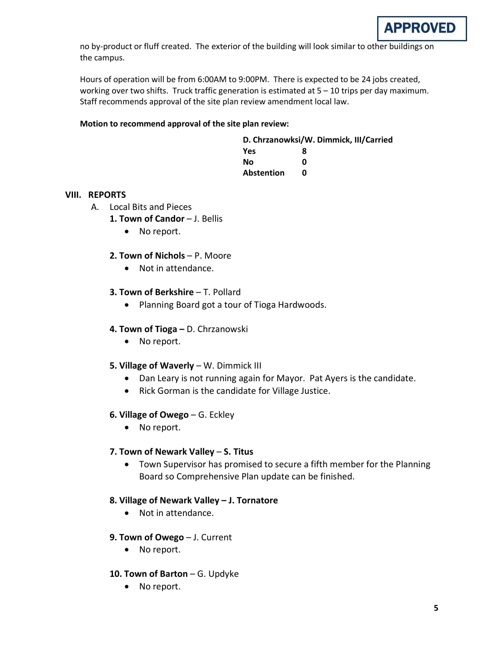

no by-product or fluff created. The exterior of the building will look similar to other buildings on the campus.

Hours of operation will be from 6:00AM to 9:00PM. There is expected to be 24 jobs created, working over two shifts. Truck traffic generation is estimated at 5 – 10 trips per day maximum. Staff recommends approval of the site plan review amendment local law.

#### **Motion to recommend approval of the site plan review:**

| D. Chrzanowksi/W. Dimmick, III/Carried |   |  |
|----------------------------------------|---|--|
| Yes                                    | 8 |  |
| Nο                                     | n |  |
| <b>Abstention</b>                      | n |  |

## **VIII. REPORTS**

- A. Local Bits and Pieces
	- 1. Town of Candor J. Bellis
		- No report.

## **2. Town of Nichols** – P. Moore

• Not in attendance.

## **3. Town of Berkshire - T. Pollard**

• Planning Board got a tour of Tioga Hardwoods.

## **4. Town of Tioga –** D. Chrzanowski

• No report.

## **5. Village of Waverly** – W. Dimmick III

- Dan Leary is not running again for Mayor. Pat Ayers is the candidate.
- Rick Gorman is the candidate for Village Justice.

## **6. Village of Owego** – G. Eckley

• No report.

## **7. Town of Newark Valley** – **S. Titus**

• Town Supervisor has promised to secure a fifth member for the Planning Board so Comprehensive Plan update can be finished.

## **8. Village of Newark Valley – J. Tornatore**

- Not in attendance.
- **9. Town of Owego** J. Current
	- No report.
- **10. Town of Barton** G. Updyke
	- No report.